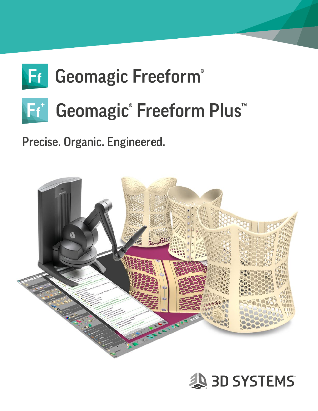# **Fr** Geomagic Freeform® Ff<sup>+</sup> Geomagic® Freeform Plus<sup>™</sup>

Precise. Organic. Engineered.



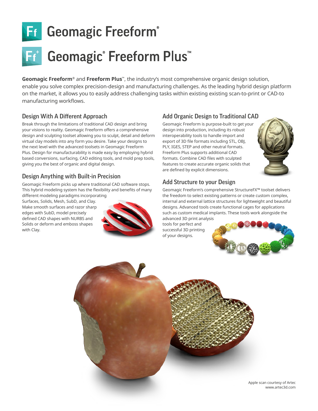

# Ff<sup>+</sup> Geomagic<sup>®</sup> Freeform Plus<sup>™</sup>

**Geomagic Freeform**® and **Freeform Plus**™, the industry's most comprehensive organic design solution, enable you solve complex precision-design and manufacturing challenges. As the leading hybrid design platform on the market, it allows you to easily address challenging tasks within existing existing scan-to-print or CAD-to manufacturing workflows.

#### Design With A Different Approach

Break through the limitations of traditional CAD design and bring your visions to reality. Geomagic Freeform offers a comprehensive design and sculpting toolset allowing you to sculpt, detail and deform virtual clay models into any form you desire. Take your designs to the next level with the advanced toolsets in Geomagic Freeform Plus. Design for manufacturability is made easy by employing hybrid based conversions, surfacing, CAD editing tools, and mold prep tools, giving you the best of organic and digital design.

#### Design Anything with Built-in Precision

Geomagic Freeform picks up where traditional CAD software stops. This hybrid modeling system has the flexibility and benefits of many

different modeling paradigms incorporating Surfaces, Solids, Mesh, SubD, and Clay. Make smooth surfaces and razor sharp edges with SubD, model precisely defined CAD shapes with NURBS and Solids or deform and emboss shapes with Clay.



### Add Organic Design to Traditional CAD

Geomagic Freeform is purpose-built to get your design into production, including its robust interoperability tools to handle import and export of 3D file formats including STL, OBJ, PLY, IGES, STEP and other neutral formats. Freeform Plus supports additional CAD formats. Combine CAD files with sculpted features to create accurate organic solids that are defined by explicit dimensions.



#### Add Structure to your Design

Geomagic Freeform's comprehensive StructureFX™ toolset delivers the freedom to select existing patterns or create custom complex, internal and external lattice structures for lightweight and beautiful designs. Advanced tools create functional cages for applications such as custom medical implants. These tools work alongside the advanced 3D print analysis

tools for perfect and successful 3D printing of your designs.





Apple scan courtesy of Artec www.artec3d.com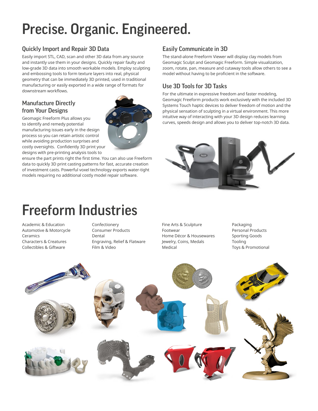# Precise. Organic. Engineered.

### Quickly Import and Repair 3D Data

Easily import STL, CAD, scan and other 3D data from any source and instantly use them in your designs. Quickly repair faulty and low-grade 3D data into smooth workable models. Employ sculpting and embossing tools to form texture layers into real, physical geometry that can be immediately 3D printed, used in traditional manufacturing or easily exported in a wide range of formats for downstream workflows.

#### Manufacture Directly from Your Designs

Geomagic Freeform Plus allows you to identify and remedy potential manufacturing issues early in the design process so you can retain artistic control while avoiding production surprises and costly oversights. Confidently 3D print your designs with pre-printing analysis tools to

ensure the part prints right the first time. You can also use Freeform data to quickly 3D print casting patterns for fast, accurate creation of investment casts. Powerful voxel technology exports water-tight models requiring no additional costly model repair software.

## Easily Communicate in 3D

The stand-alone Freeform Viewer will display clay models from Geomagic Sculpt and Geomagic Freeform. Simple visualization, zoom, rotate, pan, measure and cutaway tools allow others to see a model without having to be proficient in the software.

### Use 3D Tools for 3D Tasks

For the ultimate in expressive freedom and faster modeling, Geomagic Freeform products work exclusively with the included 3D Systems Touch haptic devices to deliver freedom of motion and the physical sensation of sculpting in a virtual environment. This more intuitive way of interacting with your 3D design reduces learning curves, speeds design and allows you to deliver top-notch 3D data.



# Freeform Industries

Academic & Education Automotive & Motorcycle **Ceramics** Characters & Creatures Collectibles & Giftware

Confectionery Consumer Products Dental Engraving, Relief & Flatware Film & Video

Fine Arts & Sculpture Footwear Home Décor & Housewares Jewelry, Coins, Medals Medical

Packaging Personal Products Sporting Goods Tooling Toys & Promotional